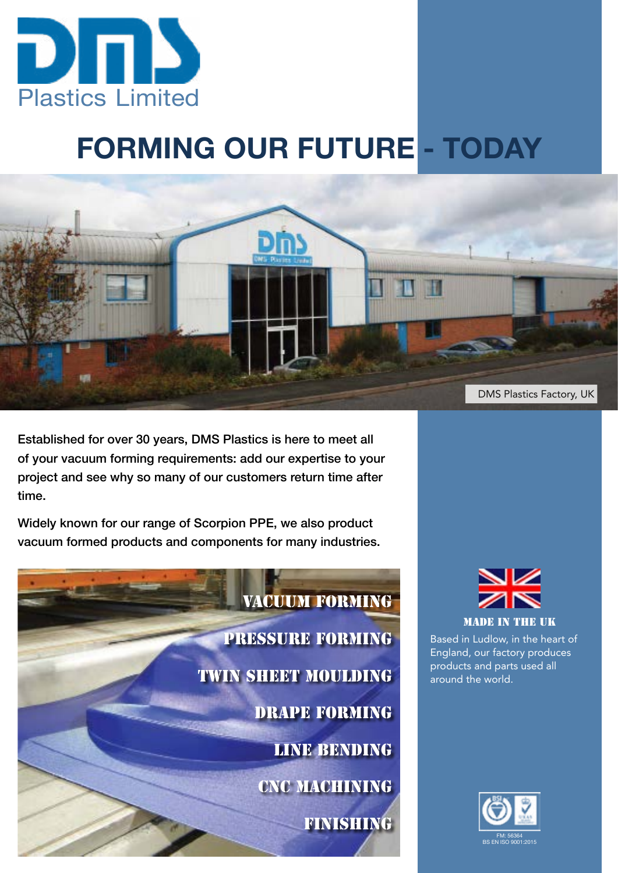

# **FORMING OUR FUTURE - TODAY**



Established for over 30 years, DMS Plastics is here to meet all of your vacuum forming requirements: add our expertise to your project and see why so many of our customers return time after time.

Widely known for our range of Scorpion PPE, we also product vacuum formed products and components for many industries.





Based in Ludlow, in the heart of England, our factory produces products and parts used all around the world.